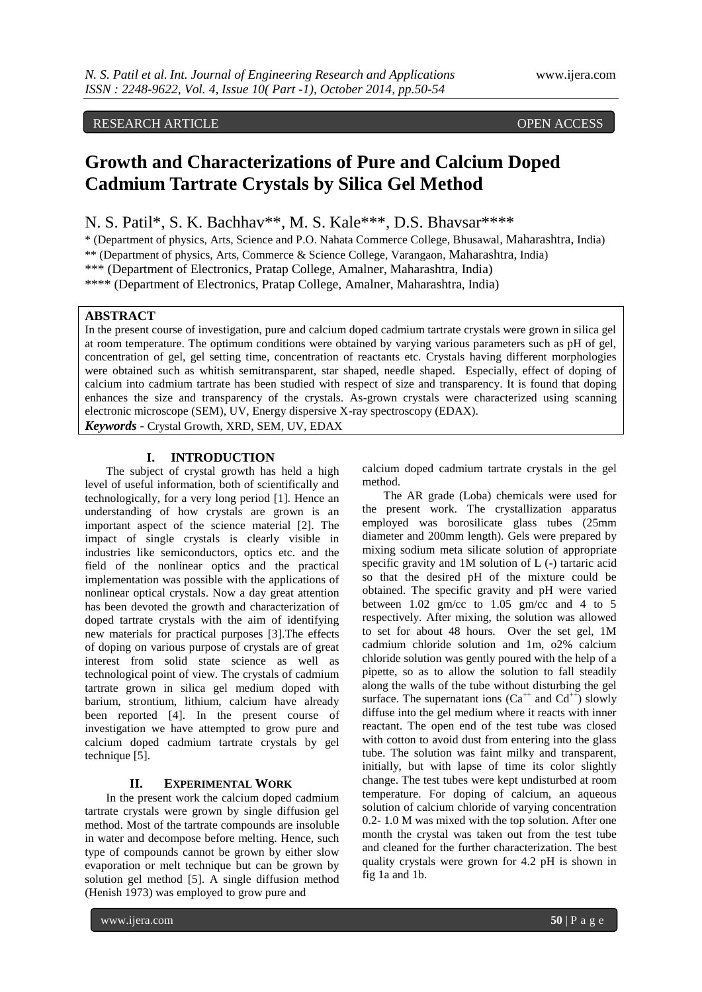# RESEARCH ARTICLE OPEN ACCESS

# **Growth and Characterizations of Pure and Calcium Doped Cadmium Tartrate Crystals by Silica Gel Method**

N. S. Patil\*, S. K. Bachhav\*\*, M. S. Kale\*\*\*, D.S. Bhavsar\*\*\*\*

\* (Department of physics, Arts, Science and P.O. Nahata Commerce College, Bhusawal, Maharashtra, India)

\*\* (Department of physics, Arts, Commerce & Science College, Varangaon, Maharashtra, India)

\*\*\* (Department of Electronics, Pratap College, Amalner, Maharashtra, India)

\*\*\*\* (Department of Electronics, Pratap College, Amalner, Maharashtra, India)

### **ABSTRACT**

In the present course of investigation, pure and calcium doped cadmium tartrate crystals were grown in silica gel at room temperature. The optimum conditions were obtained by varying various parameters such as pH of gel, concentration of gel, gel setting time, concentration of reactants etc. Crystals having different morphologies were obtained such as whitish semitransparent, star shaped, needle shaped. Especially, effect of doping of calcium into cadmium tartrate has been studied with respect of size and transparency. It is found that doping enhances the size and transparency of the crystals. As-grown crystals were characterized using scanning electronic microscope (SEM), UV, Energy dispersive X-ray spectroscopy (EDAX).

*Keywords* **-** Crystal Growth, XRD, SEM, UV, EDAX

# **I. INTRODUCTION**

The subject of crystal growth has held a high level of useful information, both of scientifically and technologically, for a very long period [1]. Hence an understanding of how crystals are grown is an important aspect of the science material [2]. The impact of single crystals is clearly visible in industries like semiconductors, optics etc. and the field of the nonlinear optics and the practical implementation was possible with the applications of nonlinear optical crystals. Now a day great attention has been devoted the growth and characterization of doped tartrate crystals with the aim of identifying new materials for practical purposes [3].The effects of doping on various purpose of crystals are of great interest from solid state science as well as technological point of view. The crystals of cadmium tartrate grown in silica gel medium doped with barium, strontium, lithium, calcium have already been reported [4]. In the present course of investigation we have attempted to grow pure and calcium doped cadmium tartrate crystals by gel technique [5].

### **II. EXPERIMENTAL WORK**

In the present work the calcium doped cadmium tartrate crystals were grown by single diffusion gel method. Most of the tartrate compounds are insoluble in water and decompose before melting. Hence, such type of compounds cannot be grown by either slow evaporation or melt technique but can be grown by solution gel method [5]. A single diffusion method (Henish 1973) was employed to grow pure and

calcium doped cadmium tartrate crystals in the gel method.

The AR grade (Loba) chemicals were used for the present work. The crystallization apparatus employed was borosilicate glass tubes (25mm diameter and 200mm length). Gels were prepared by mixing sodium meta silicate solution of appropriate specific gravity and 1M solution of L (-) tartaric acid so that the desired pH of the mixture could be obtained. The specific gravity and pH were varied between 1.02 gm/cc to 1.05 gm/cc and 4 to 5 respectively. After mixing, the solution was allowed to set for about 48 hours. Over the set gel, 1M cadmium chloride solution and 1m, o2% calcium chloride solution was gently poured with the help of a pipette, so as to allow the solution to fall steadily along the walls of the tube without disturbing the gel surface. The supernatant ions  $(Ca^{++}$  and  $Cd^{++}$ ) slowly diffuse into the gel medium where it reacts with inner reactant. The open end of the test tube was closed with cotton to avoid dust from entering into the glass tube. The solution was faint milky and transparent, initially, but with lapse of time its color slightly change. The test tubes were kept undisturbed at room temperature. For doping of calcium, an aqueous solution of calcium chloride of varying concentration 0.2- 1.0 M was mixed with the top solution. After one month the crystal was taken out from the test tube and cleaned for the further characterization. The best quality crystals were grown for 4.2 pH is shown in fig 1a and 1b.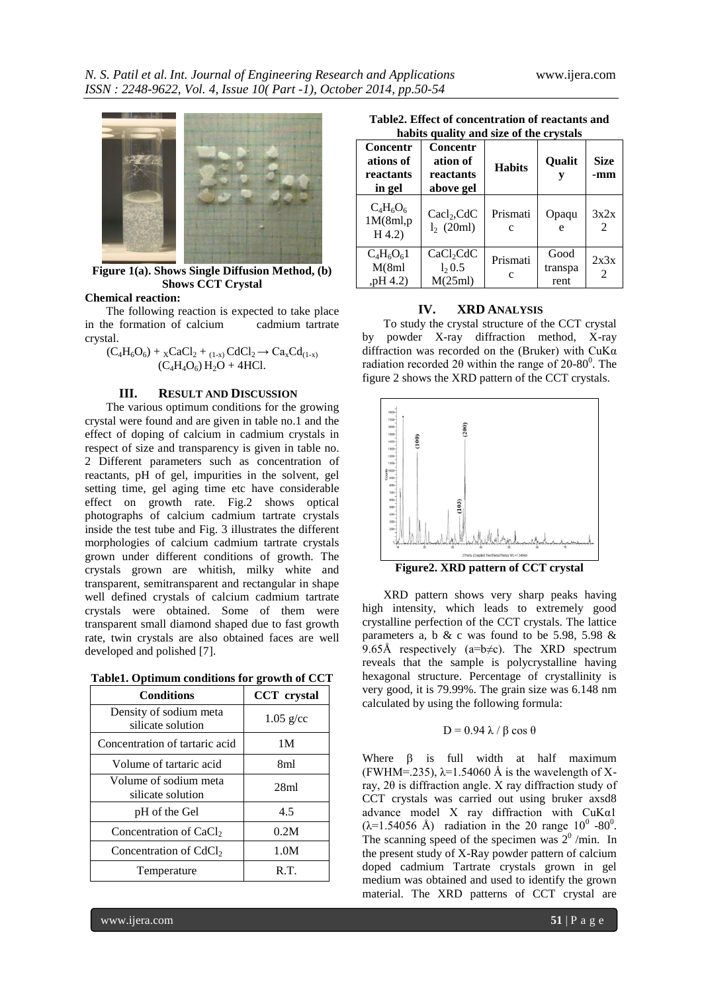

**Figure 1(a). Shows Single Diffusion Method, (b) Shows CCT Crystal**

#### **Chemical reaction:**

The following reaction is expected to take place in the formation of calcium cadmium tartrate crystal.

$$
(C_4H_6O_6) + {}_{\rm X}CaCl_2 + {}_{(1-x)}CdCl_2 \rightarrow Ca_xCd_{(1-x)}(C_4H_4O_6) H_2O + 4HCl.
$$

#### **III. RESULT AND DISCUSSION**

The various optimum conditions for the growing crystal were found and are given in table no.1 and the effect of doping of calcium in cadmium crystals in respect of size and transparency is given in table no. 2 Different parameters such as concentration of reactants, pH of gel, impurities in the solvent, gel setting time, gel aging time etc have considerable effect on growth rate. Fig.2 shows optical photographs of calcium cadmium tartrate crystals inside the test tube and Fig. 3 illustrates the different morphologies of calcium cadmium tartrate crystals grown under different conditions of growth. The crystals grown are whitish, milky white and transparent, semitransparent and rectangular in shape well defined crystals of calcium cadmium tartrate crystals were obtained. Some of them were transparent small diamond shaped due to fast growth rate, twin crystals are also obtained faces are well developed and polished [7].

**Table1. Optimum conditions for growth of CCT**

| <b>Conditions</b>                           | <b>CCT</b> crystal |
|---------------------------------------------|--------------------|
| Density of sodium meta<br>silicate solution | $1.05$ g/cc        |
| Concentration of tartaric acid              | 1M                 |
| Volume of tartaric acid                     | 8ml                |
| Volume of sodium meta<br>silicate solution  | 28ml               |
| pH of the Gel                               | 4.5                |
| Concentration of CaCl <sub>2</sub>          | 0.2M               |
| Concentration of CdCl <sub>2</sub>          | 1.0M               |
| Temperature                                 | R.T.               |

**Table2. Effect of concentration of reactants and habits quality and size of the crystals**

| nabits quality and size of the crystals      |                                                |               |                         |                        |  |
|----------------------------------------------|------------------------------------------------|---------------|-------------------------|------------------------|--|
| Concentr<br>ations of<br>reactants<br>in gel | Concentr<br>ation of<br>reactants<br>above gel | <b>Habits</b> | Qualit                  | <b>Size</b><br>-mm     |  |
| $C_4H_6O_6$<br>1M(8ml,p)<br>H(4.2)           | $\text{Cacl}_2,\text{CdC}$<br>$l_2$ (20ml)     | Prismati<br>c | Opaqu<br>e              | 3x2x<br>2              |  |
| $C_4H_6O_61$<br>M(8ml)<br>,pH 4.2)           | CaCl <sub>2</sub> CdC<br>1, 0.5<br>M(25ml)     | Prismati<br>C | Good<br>transpa<br>rent | 2x3x<br>$\mathfrak{D}$ |  |

#### **IV. XRD ANALYSIS**

To study the crystal structure of the CCT crystal by powder X-ray diffraction method, X-ray diffraction was recorded on the (Bruker) with CuKα radiation recorded 2 $\theta$  within the range of 20-80<sup>0</sup>. The figure 2 shows the XRD pattern of the CCT crystals.



**Figure2. XRD pattern of CCT crystal**

XRD pattern shows very sharp peaks having high intensity, which leads to extremely good crystalline perfection of the CCT crystals. The lattice parameters a, b & c was found to be 5.98, 5.98  $\&$ 9.65Å respectively ( $a=b\neq c$ ). The XRD spectrum reveals that the sample is polycrystalline having hexagonal structure. Percentage of crystallinity is very good, it is 79.99%. The grain size was 6.148 nm calculated by using the following formula:

#### $D = 0.94 \lambda / \beta \cos \theta$

Where  $\beta$  is full width at half maximum (FWHM=.235),  $\lambda$ =1.54060 Å is the wavelength of Xray, 2θ is diffraction angle. X ray diffraction study of CCT crystals was carried out using bruker axsd8 advance model X ray diffraction with CuKα1  $(\lambda = 1.54056 \text{ Å})$  radiation in the 20 range 10<sup>0</sup> -80<sup>0</sup>. The scanning speed of the specimen was  $2^0$  /min. In the present study of X-Ray powder pattern of calcium doped cadmium Tartrate crystals grown in gel medium was obtained and used to identify the grown material. The XRD patterns of CCT crystal are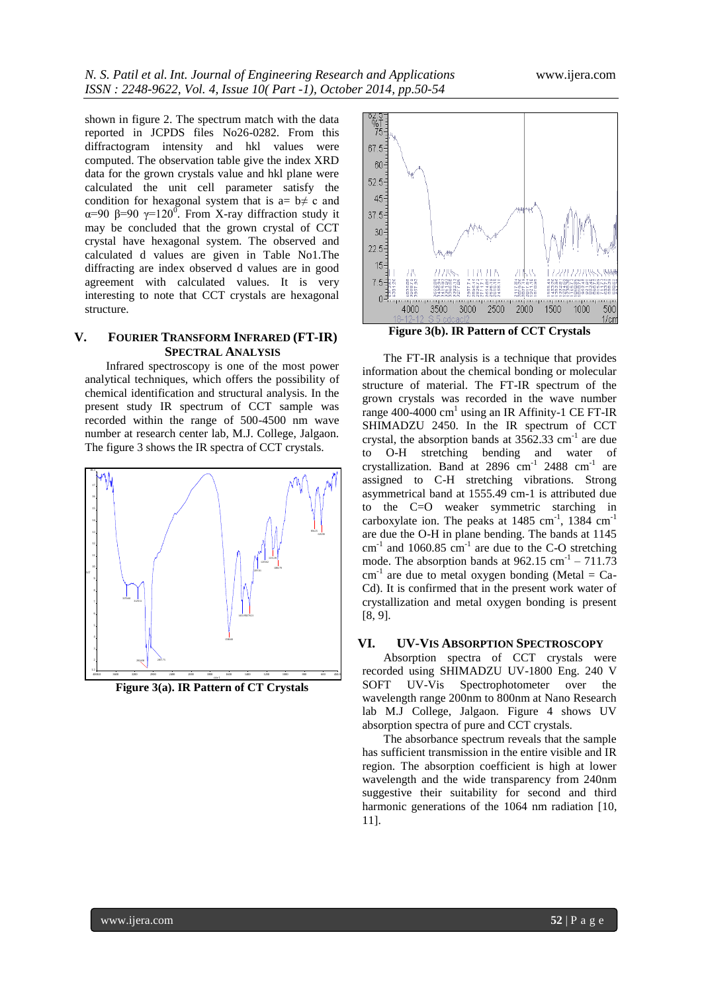shown in figure 2. The spectrum match with the data reported in JCPDS files No26-0282. From this diffractogram intensity and hkl values were computed. The observation table give the index XRD data for the grown crystals value and hkl plane were calculated the unit cell parameter satisfy the condition for hexagonal system that is  $a = b \neq c$  and α=90 β=90  $\gamma$ =120<sup>0</sup>. From X-ray diffraction study it may be concluded that the grown crystal of CCT crystal have hexagonal system. The observed and calculated d values are given in Table No1.The diffracting are index observed d values are in good agreement with calculated values. It is very interesting to note that CCT crystals are hexagonal structure.

## **V. FOURIER TRANSFORM INFRARED (FT-IR) SPECTRAL ANALYSIS**

Infrared spectroscopy is one of the most power analytical techniques, which offers the possibility of chemical identification and structural analysis. In the present study IR spectrum of CCT sample was recorded within the range of 500-4500 nm wave number at research center lab, M.J. College, Jalgaon. The figure 3 shows the IR spectra of CCT crystals.



**Figure 3(a). IR Pattern of CT Crystals**



**Figure 3(b). IR Pattern of CCT Crystals**

The FT-IR analysis is a technique that provides information about the chemical bonding or molecular structure of material. The FT-IR spectrum of the grown crystals was recorded in the wave number range 400-4000  $\text{cm}^1$  using an IR Affinity-1 CE FT-IR SHIMADZU 2450. In the IR spectrum of CCT crystal, the absorption bands at  $3562.33$  cm<sup>-1</sup> are due to O-H stretching bending and water of crystallization. Band at 2896  $\text{cm}^{-1}$  2488  $\text{cm}^{-1}$  are assigned to C-H stretching vibrations. Strong asymmetrical band at 1555.49 cm-1 is attributed due to the C=O weaker symmetric starching in carboxylate ion. The peaks at  $1485 \text{ cm}^{-1}$ ,  $1384 \text{ cm}^{-1}$ are due the O-H in plane bending. The bands at 1145  $\text{cm}^{-1}$  and 1060.85  $\text{cm}^{-1}$  are due to the C-O stretching mode. The absorption bands at  $962.15 \text{ cm}^{-1} - 711.73$  $cm^{-1}$  are due to metal oxygen bonding (Metal = Ca-Cd). It is confirmed that in the present work water of crystallization and metal oxygen bonding is present [8, 9].

#### **VI. UV-VIS ABSORPTION SPECTROSCOPY**

Absorption spectra of CCT crystals were recorded using SHIMADZU UV-1800 Eng. 240 V SOFT UV-Vis Spectrophotometer over the wavelength range 200nm to 800nm at Nano Research lab M.J College, Jalgaon. Figure 4 shows UV absorption spectra of pure and CCT crystals.

The absorbance spectrum reveals that the sample has sufficient transmission in the entire visible and IR region. The absorption coefficient is high at lower wavelength and the wide transparency from 240nm suggestive their suitability for second and third harmonic generations of the 1064 nm radiation [10, 11].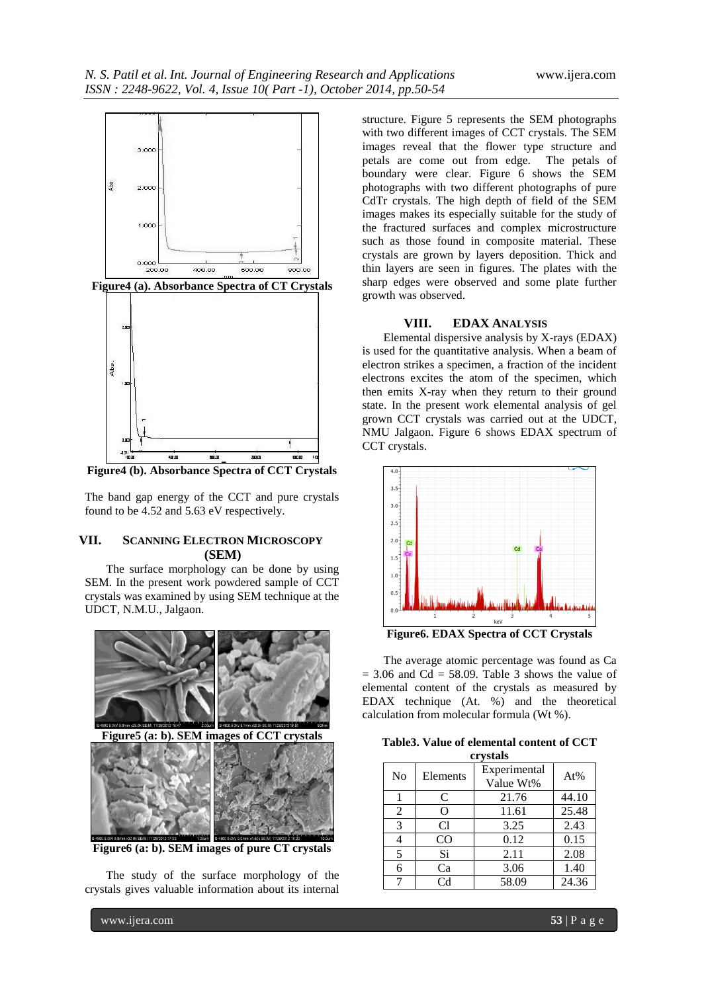

**Figure4 (b). Absorbance Spectra of CCT Crystals**

The band gap energy of the CCT and pure crystals found to be 4.52 and 5.63 eV respectively.

# **VII. SCANNING ELECTRON MICROSCOPY (SEM)**

The surface morphology can be done by using SEM. In the present work powdered sample of CCT crystals was examined by using SEM technique at the UDCT, N.M.U., Jalgaon.



**Figure6 (a: b). SEM images of pure CT crystals**

The study of the surface morphology of the crystals gives valuable information about its internal

structure. Figure 5 represents the SEM photographs with two different images of CCT crystals. The SEM images reveal that the flower type structure and petals are come out from edge. The petals of boundary were clear. Figure 6 shows the SEM photographs with two different photographs of pure CdTr crystals. The high depth of field of the SEM images makes its especially suitable for the study of the fractured surfaces and complex microstructure such as those found in composite material. These crystals are grown by layers deposition. Thick and thin layers are seen in figures. The plates with the sharp edges were observed and some plate further growth was observed.

#### **VIII. EDAX ANALYSIS**

Elemental dispersive analysis by X-rays (EDAX) is used for the quantitative analysis. When a beam of electron strikes a specimen, a fraction of the incident electrons excites the atom of the specimen, which then emits X-ray when they return to their ground state. In the present work elemental analysis of gel grown CCT crystals was carried out at the UDCT, NMU Jalgaon. Figure 6 shows EDAX spectrum of CCT crystals.



**Figure6. EDAX Spectra of CCT Crystals**

The average atomic percentage was found as Ca  $= 3.06$  and Cd  $= 58.09$ . Table 3 shows the value of elemental content of the crystals as measured by EDAX technique (At. %) and the theoretical calculation from molecular formula (Wt %).

|  | Table 3. Value of elemental content of CCT |  |
|--|--------------------------------------------|--|
|  | crystals                                   |  |

| <b>CL FULLED</b> |                |                           |       |  |  |
|------------------|----------------|---------------------------|-------|--|--|
| N <sub>o</sub>   | Elements       | Experimental<br>Value Wt% | At%   |  |  |
|                  | C              | 21.76                     | 44.10 |  |  |
| 2                | O              | 11.61                     | 25.48 |  |  |
| 3                | C1             | 3.25                      | 2.43  |  |  |
|                  | CO             | 0.12                      | 0.15  |  |  |
| 5                | Si             | 2.11                      | 2.08  |  |  |
| 6                | Ca             | 3.06                      | 1.40  |  |  |
| 7                | C <sub>d</sub> | 58.09                     | 24.36 |  |  |